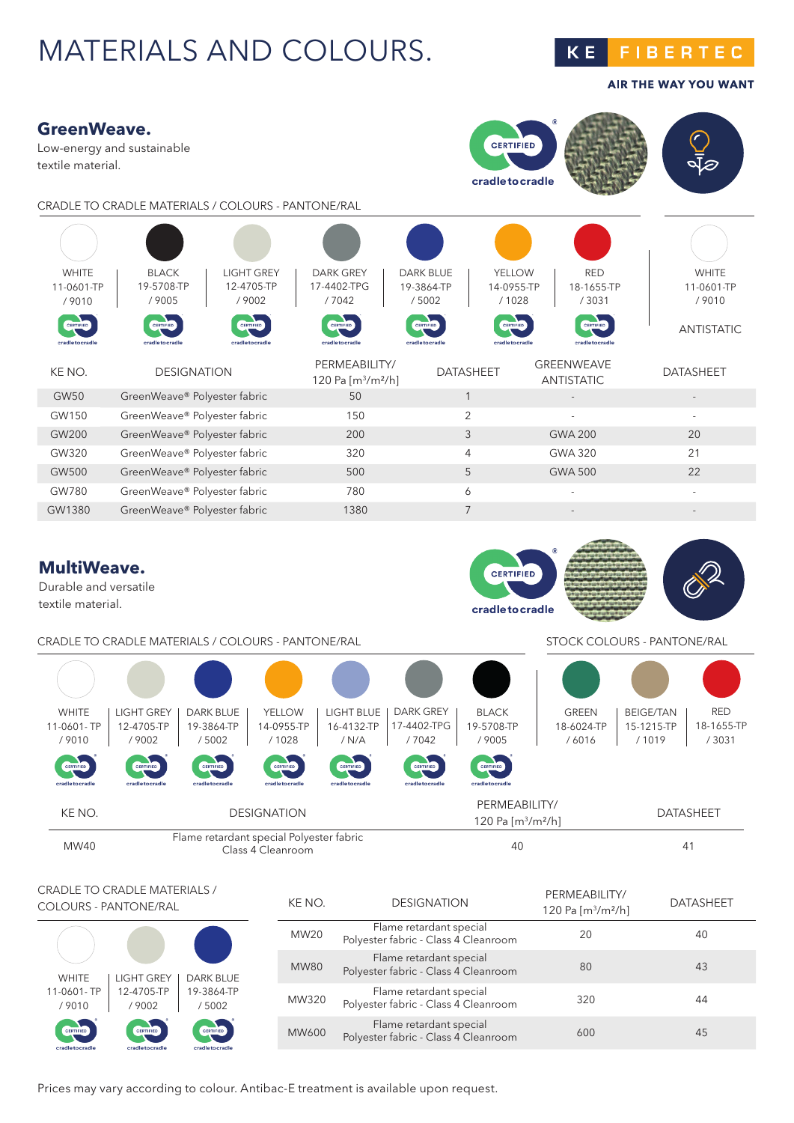## MATERIALS AND COLOURS.

**KE FIBERTEC** 

**AIR THE WAY YOU WANT** 



### CRADLE TO CRADLE MATERIALS / COLOURS - PANTONE/RAL STOCK COLOURS - PANTONE/RAL



CRADLE TO CRADLE MATERIALS / COLOURS - PANTONE/RAL

| <b>WHITE</b>     | LIGHT GREY       | <b>DARK BLUE</b> |
|------------------|------------------|------------------|
| 11-0601-TP       | 12-4705-TP       | 19-3864-TP       |
| /9010            | /9002            | /5002            |
| <b>CERTIFIED</b> | <b>CERTIFIED</b> | <b>CERTIFIED</b> |
| cradietocradie   | cradietocradie   | cradietocradie   |

| KE NO.           | <b>DESIGNATION</b>                                              | PFRMFABILITY/<br>120 Pa [ $m^3/m^2/h$ ] | <b>DATASHEET</b> |
|------------------|-----------------------------------------------------------------|-----------------------------------------|------------------|
| MW <sub>20</sub> | Flame retardant special<br>Polyester fabric - Class 4 Cleanroom | 20                                      | 40               |
| <b>MW80</b>      | Flame retardant special<br>Polyester fabric - Class 4 Cleanroom | 80                                      | 43               |
| MW320            | Flame retardant special<br>Polyester fabric - Class 4 Cleanroom | 320                                     | 44               |
| MW600            | Flame retardant special<br>Polyester fabric - Class 4 Cleanroom | 600                                     | 45               |
|                  |                                                                 |                                         |                  |

Prices may vary according to colour. Antibac-E treatment is available upon request.